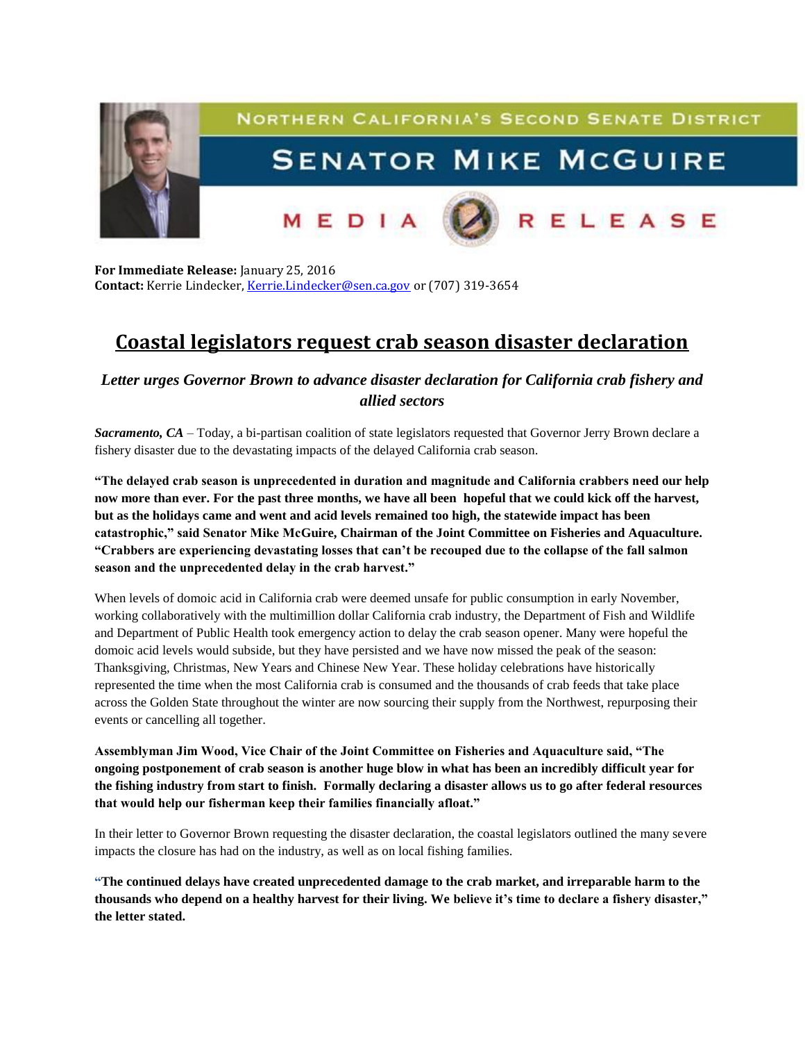

**For Immediate Release:** January 25, 2016 **Contact:** Kerrie Lindecker, [Kerrie.Lindecker@sen.ca.gov](mailto:Kerrie.Lindecker@sen.ca.gov) or (707) 319-3654

## **Coastal legislators request crab season disaster declaration**

*Letter urges Governor Brown to advance disaster declaration for California crab fishery and allied sectors*

*Sacramento, CA* – Today, a bi-partisan coalition of state legislators requested that Governor Jerry Brown declare a fishery disaster due to the devastating impacts of the delayed California crab season.

**"The delayed crab season is unprecedented in duration and magnitude and California crabbers need our help now more than ever. For the past three months, we have all been hopeful that we could kick off the harvest, but as the holidays came and went and acid levels remained too high, the statewide impact has been catastrophic," said Senator Mike McGuire, Chairman of the Joint Committee on Fisheries and Aquaculture. "Crabbers are experiencing devastating losses that can't be recouped due to the collapse of the fall salmon season and the unprecedented delay in the crab harvest."** 

When levels of domoic acid in California crab were deemed unsafe for public consumption in early November, working collaboratively with the multimillion dollar California crab industry, the Department of Fish and Wildlife and Department of Public Health took emergency action to delay the crab season opener. Many were hopeful the domoic acid levels would subside, but they have persisted and we have now missed the peak of the season: Thanksgiving, Christmas, New Years and Chinese New Year. These holiday celebrations have historically represented the time when the most California crab is consumed and the thousands of crab feeds that take place across the Golden State throughout the winter are now sourcing their supply from the Northwest, repurposing their events or cancelling all together.

**Assemblyman Jim Wood, Vice Chair of the Joint Committee on Fisheries and Aquaculture said, "The ongoing postponement of crab season is another huge blow in what has been an incredibly difficult year for the fishing industry from start to finish. Formally declaring a disaster allows us to go after federal resources that would help our fisherman keep their families financially afloat."**

In their letter to Governor Brown requesting the disaster declaration, the coastal legislators outlined the many severe impacts the closure has had on the industry, as well as on local fishing families.

**"The continued delays have created unprecedented damage to the crab market, and irreparable harm to the thousands who depend on a healthy harvest for their living. We believe it's time to declare a fishery disaster," the letter stated.**